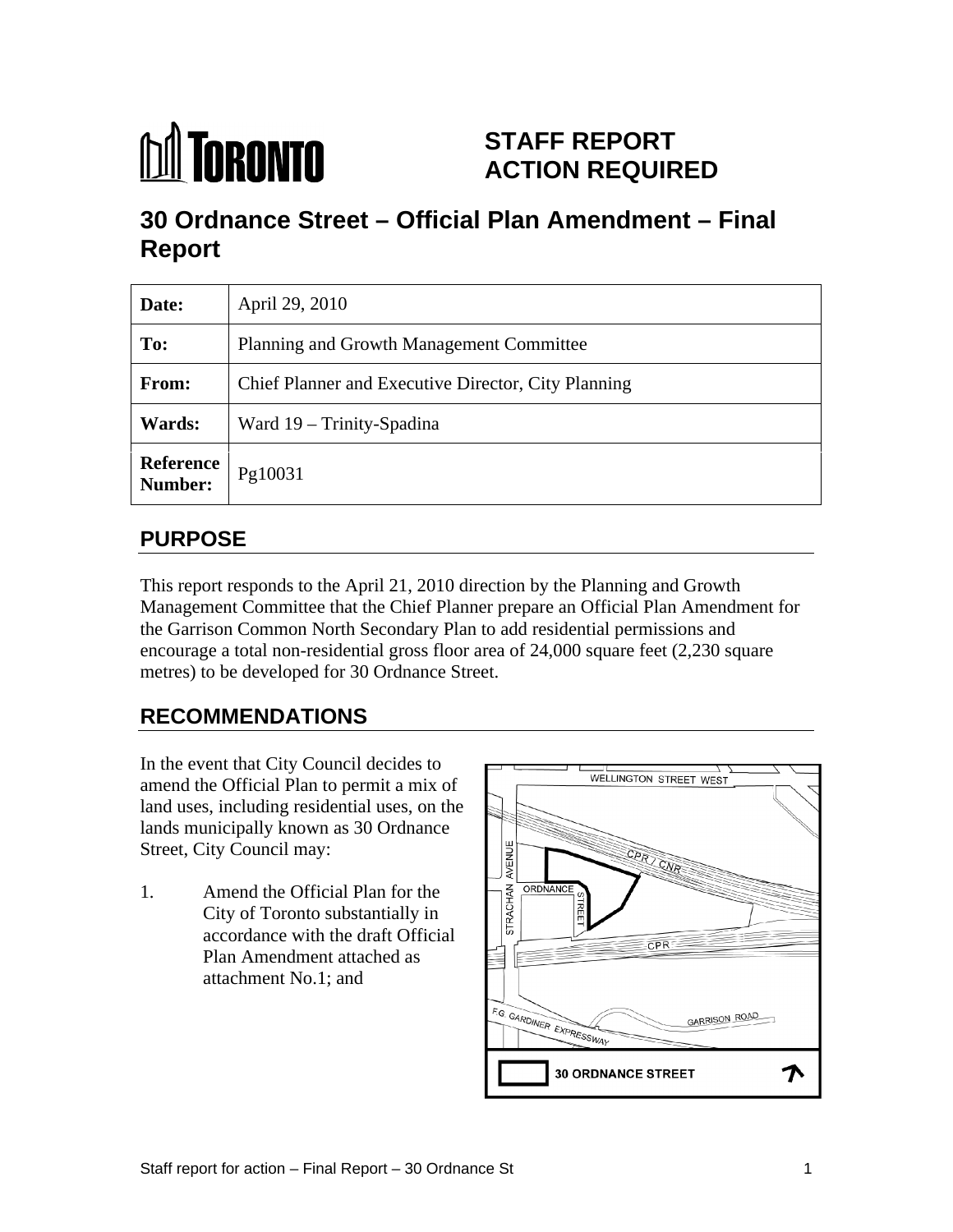

# **STAFF REPORT ACTION REQUIRED**

# **30 Ordnance Street – Official Plan Amendment – Final Report**

| Date:         | April 29, 2010                                      |
|---------------|-----------------------------------------------------|
| To:           | Planning and Growth Management Committee            |
| From:         | Chief Planner and Executive Director, City Planning |
| <b>Wards:</b> | Ward 19 – Trinity-Spadina                           |
| Number:       | <b>Deference</b> $\vert$ Pg10031                    |

# **PURPOSE**

This report responds to the April 21, 2010 direction by the Planning and Growth Management Committee that the Chief Planner prepare an Official Plan Amendment for the Garrison Common North Secondary Plan to add residential permissions and encourage a total non-residential gross floor area of 24,000 square feet (2,230 square metres) to be developed for 30 Ordnance Street.

# **RECOMMENDATIONS**

In the event that City Council decides to  $\Box$ amend the Official Plan to permit a mix of land uses, including residential uses, on the lands municipally known as 30 Ordnance

1. Amend the Official Plan for the<br>City of Toronto substantially in<br>accordance with the draft Official City of Toronto substantially in  $\alpha$  accordance with the draft Official Plan Amendment attached as attachment No.1; and

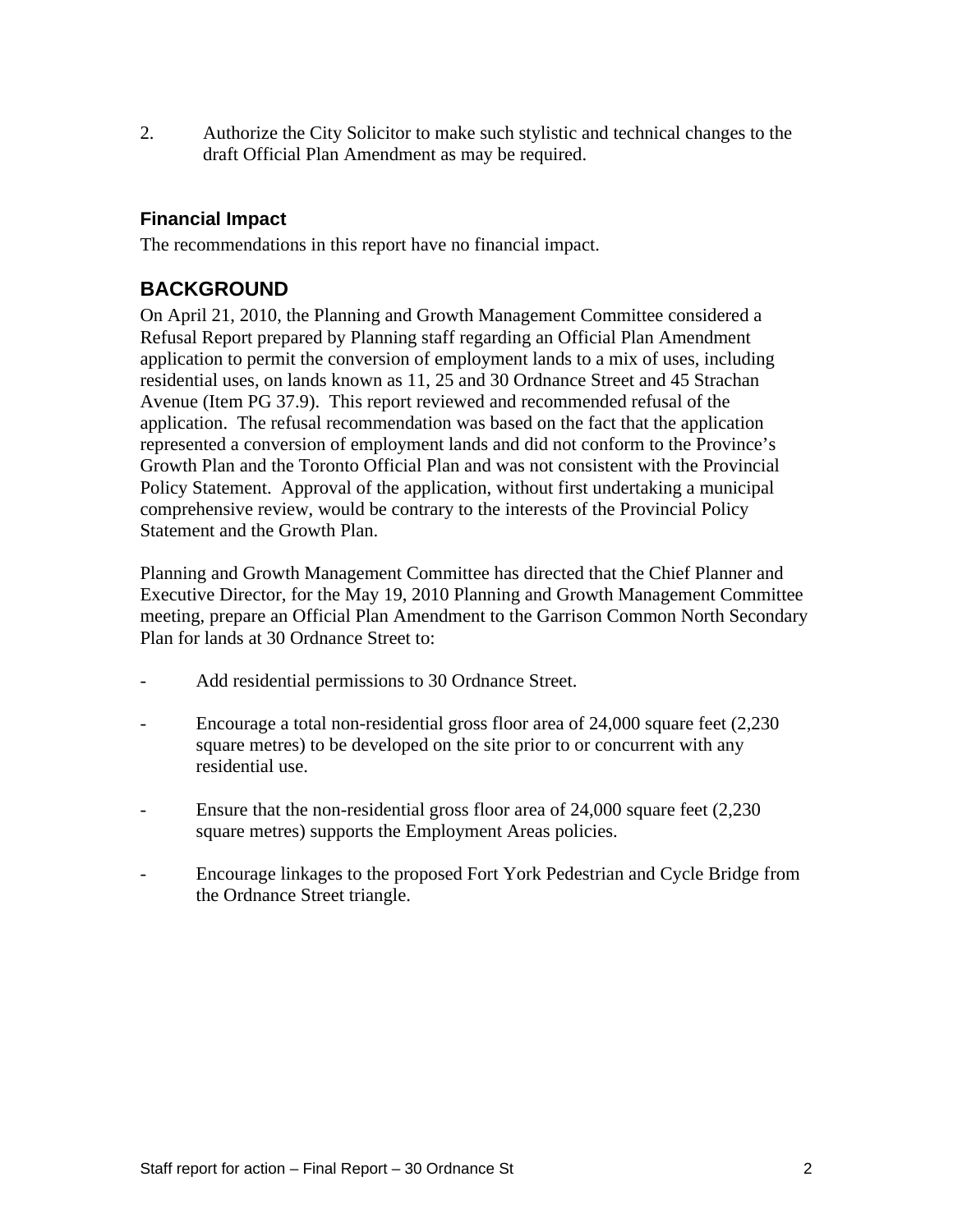2. Authorize the City Solicitor to make such stylistic and technical changes to the draft Official Plan Amendment as may be required.

#### **Financial Impact**

The recommendations in this report have no financial impact.

### **BACKGROUND**

On April 21, 2010, the Planning and Growth Management Committee considered a Refusal Report prepared by Planning staff regarding an Official Plan Amendment application to permit the conversion of employment lands to a mix of uses, including residential uses, on lands known as 11, 25 and 30 Ordnance Street and 45 Strachan Avenue (Item PG 37.9). This report reviewed and recommended refusal of the application. The refusal recommendation was based on the fact that the application represented a conversion of employment lands and did not conform to the Province's Growth Plan and the Toronto Official Plan and was not consistent with the Provincial Policy Statement. Approval of the application, without first undertaking a municipal comprehensive review, would be contrary to the interests of the Provincial Policy Statement and the Growth Plan.

Planning and Growth Management Committee has directed that the Chief Planner and Executive Director, for the May 19, 2010 Planning and Growth Management Committee meeting, prepare an Official Plan Amendment to the Garrison Common North Secondary Plan for lands at 30 Ordnance Street to:

- Add residential permissions to 30 Ordnance Street.
- Encourage a total non-residential gross floor area of 24,000 square feet (2,230 square metres) to be developed on the site prior to or concurrent with any residential use.
- Ensure that the non-residential gross floor area of 24,000 square feet (2,230) square metres) supports the Employment Areas policies.
- Encourage linkages to the proposed Fort York Pedestrian and Cycle Bridge from the Ordnance Street triangle.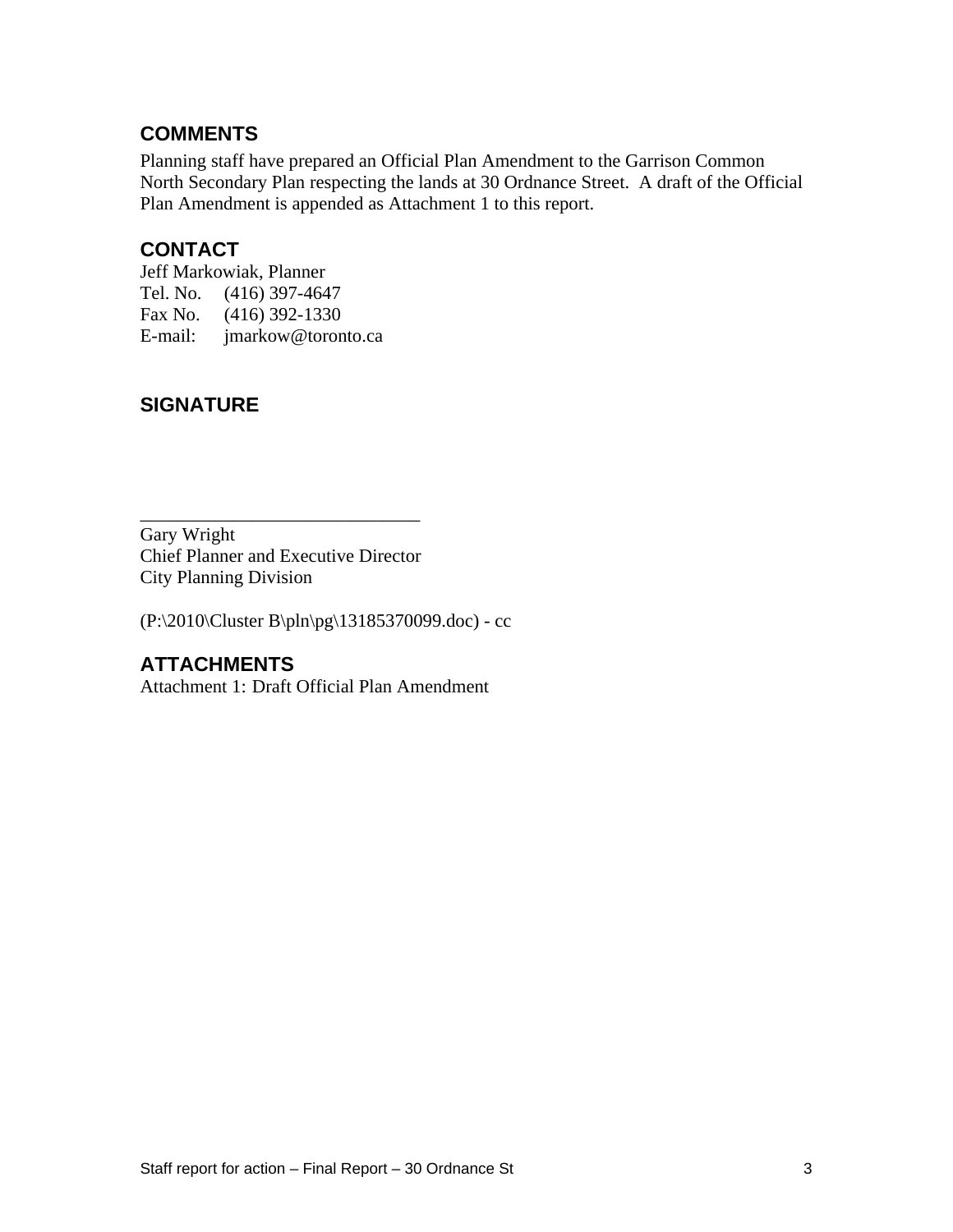### **COMMENTS**

Planning staff have prepared an Official Plan Amendment to the Garrison Common North Secondary Plan respecting the lands at 30 Ordnance Street. A draft of the Official Plan Amendment is appended as Attachment 1 to this report.

## **CONTACT**

Jeff Markowiak, Planner Tel. No. (416) 397-4647 Fax No. (416) 392-1330 E-mail: jmarkow@toronto.ca

## **SIGNATURE**

Gary Wright Chief Planner and Executive Director City Planning Division

(P:\2010\Cluster B\pln\pg\13185370099.doc) - cc

## **ATTACHMENTS**

Attachment 1: Draft Official Plan Amendment

 $\overline{\phantom{a}}$  , we can assume that the contract of  $\overline{\phantom{a}}$  , we can assume that the contract of  $\overline{\phantom{a}}$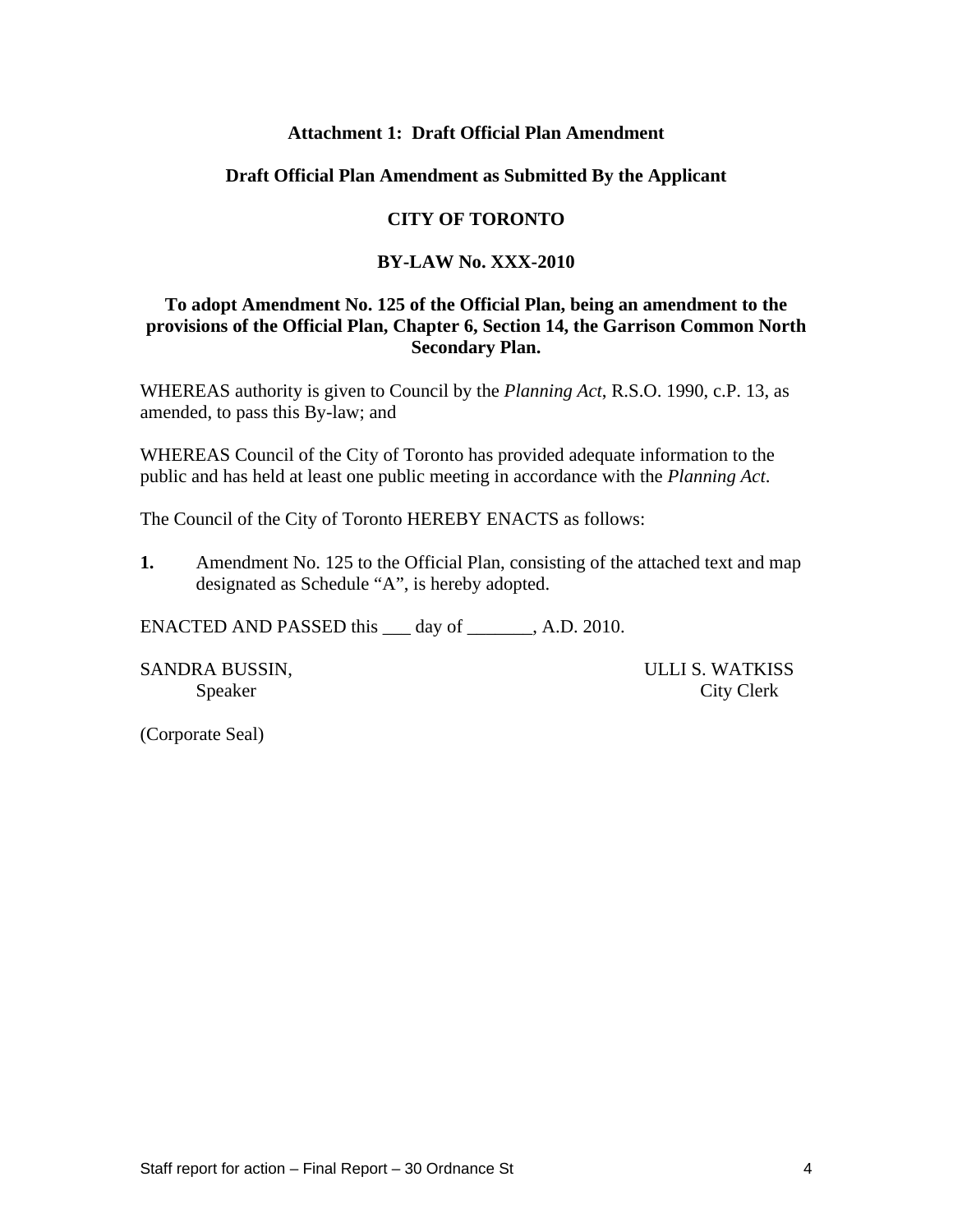#### **Attachment 1: Draft Official Plan Amendment**

#### **Draft Official Plan Amendment as Submitted By the Applicant**

#### **CITY OF TORONTO**

#### **BY-LAW No. XXX-2010**

#### **To adopt Amendment No. 125 of the Official Plan, being an amendment to the provisions of the Official Plan, Chapter 6, Section 14, the Garrison Common North Secondary Plan.**

WHEREAS authority is given to Council by the *Planning Act*, R.S.O. 1990, c.P. 13, as amended, to pass this By-law; and

WHEREAS Council of the City of Toronto has provided adequate information to the public and has held at least one public meeting in accordance with the *Planning Act*.

The Council of the City of Toronto HEREBY ENACTS as follows:

**1.** Amendment No. 125 to the Official Plan, consisting of the attached text and map designated as Schedule "A", is hereby adopted.

ENACTED AND PASSED this day of A.D. 2010.

SANDRA BUSSIN, ULLI S. WATKISS

Speaker City Clerk

(Corporate Seal)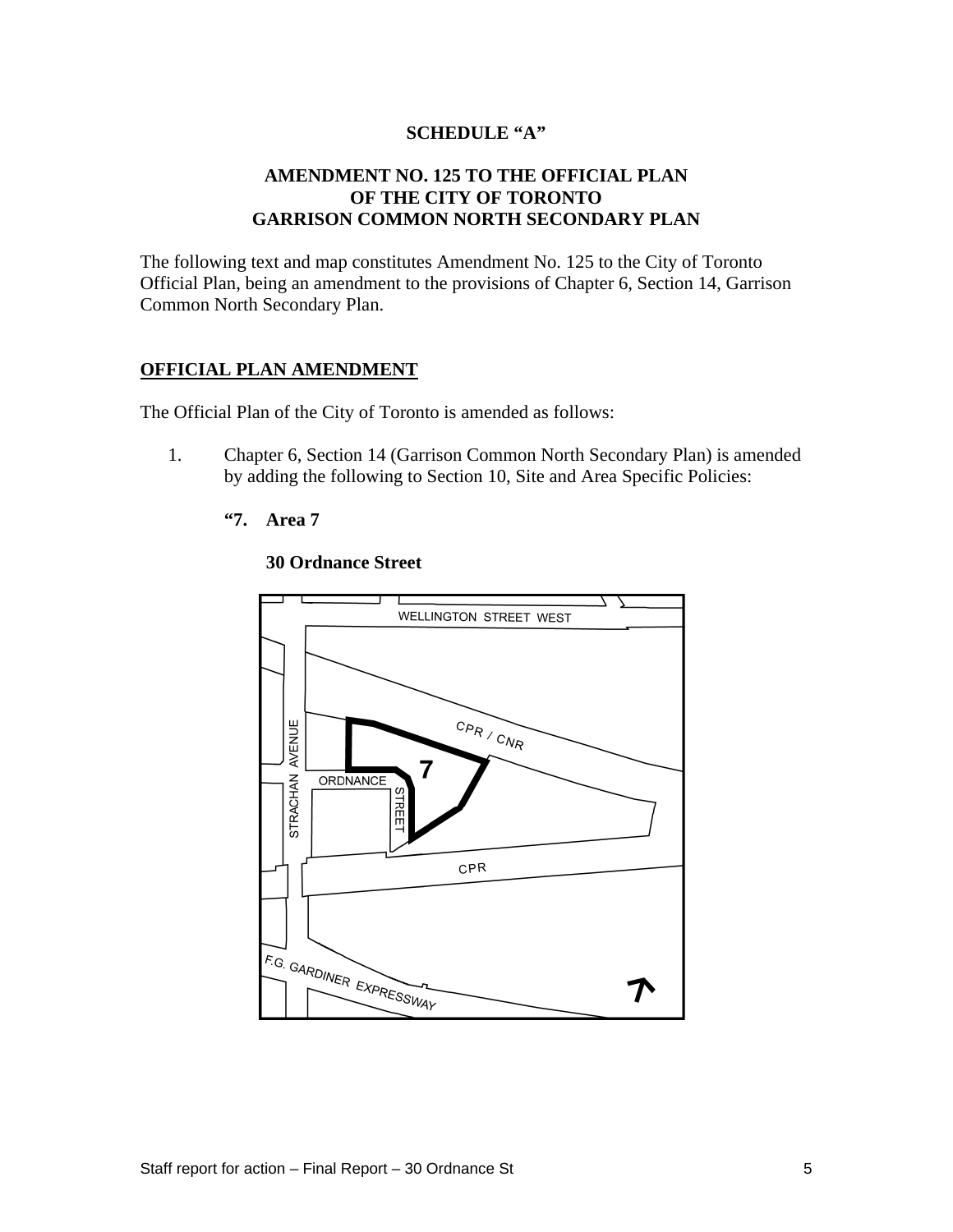#### **SCHEDULE "A"**

#### **AMENDMENT NO. 125 TO THE OFFICIAL PLAN OF THE CITY OF TORONTO GARRISON COMMON NORTH SECONDARY PLAN**

The following text and map constitutes Amendment No. 125 to the City of Toronto Official Plan, being an amendment to the provisions of Chapter 6, Section 14, Garrison Common North Secondary Plan.

#### **OFFICIAL PLAN AMENDMENT**

The Official Plan of the City of Toronto is amended as follows:

- 1. Chapter 6, Section 14 (Garrison Common North Secondary Plan) is amended by adding the following to Section 10, Site and Area Specific Policies:
	- **"7. Area 7**



#### **30 Ordnance Street**